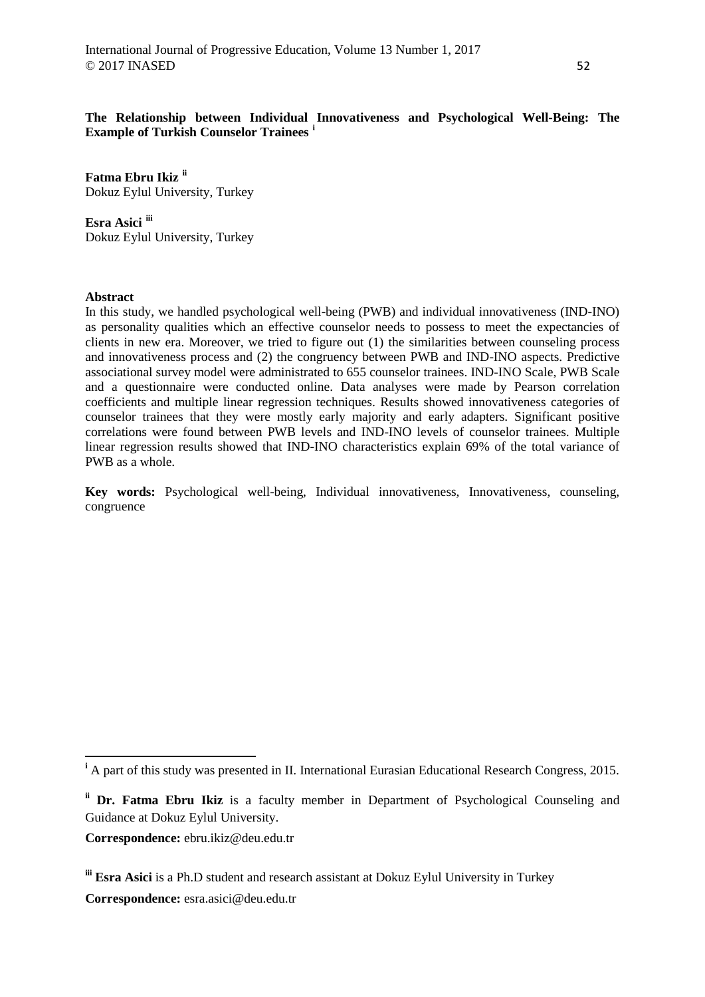**The Relationship between Individual Innovativeness and Psychological Well-Being: The Example of Turkish Counselor Trainees [i](#page-0-0)**

**Fatma Ebru Ikiz [ii](#page-0-1)** Dokuz Eylul University, Turkey

**Esra Asici [iii](#page-0-2)** Dokuz Eylul University, Turkey

### **Abstract**

 $\overline{a}$ 

In this study, we handled psychological well-being (PWB) and individual innovativeness (IND-INO) as personality qualities which an effective counselor needs to possess to meet the expectancies of clients in new era. Moreover, we tried to figure out (1) the similarities between counseling process and innovativeness process and (2) the congruency between PWB and IND-INO aspects. Predictive associational survey model were administrated to 655 counselor trainees. IND-INO Scale, PWB Scale and a questionnaire were conducted online. Data analyses were made by Pearson correlation coefficients and multiple linear regression techniques. Results showed innovativeness categories of counselor trainees that they were mostly early majority and early adapters. Significant positive correlations were found between PWB levels and IND-INO levels of counselor trainees. Multiple linear regression results showed that IND-INO characteristics explain 69% of the total variance of PWB as a whole.

**Key words:** Psychological well-being, Individual innovativeness, Innovativeness, counseling, congruence

**Correspondence:** esra.asici@deu.edu.tr

<span id="page-0-0"></span><sup>&</sup>lt;sup>i</sup> A part of this study was presented in II. International Eurasian Educational Research Congress, 2015.

<span id="page-0-1"></span>**ii Dr. Fatma Ebru Ikiz** is a faculty member in Department of Psychological Counseling and Guidance at Dokuz Eylul University.

**Correspondence:** ebru.ikiz@deu.edu.tr

<span id="page-0-2"></span>**iii Esra Asici** is a Ph.D student and research assistant at Dokuz Eylul University in Turkey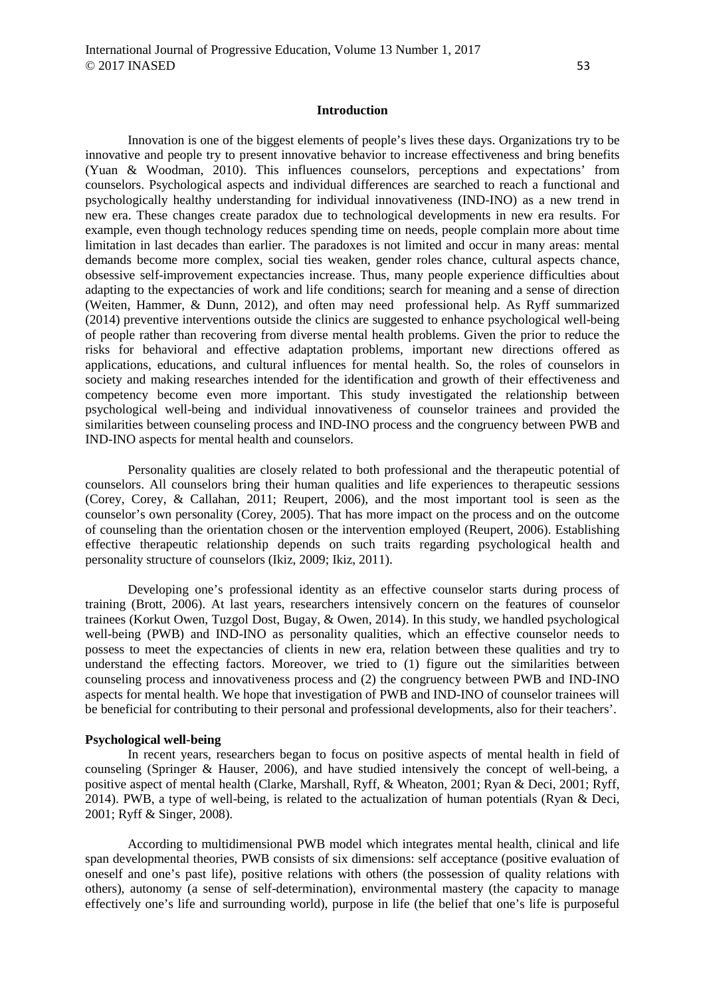#### **Introduction**

Innovation is one of the biggest elements of people's lives these days. Organizations try to be innovative and people try to present innovative behavior to increase effectiveness and bring benefits (Yuan & Woodman, 2010). This influences counselors, perceptions and expectations' from counselors. Psychological aspects and individual differences are searched to reach a functional and psychologically healthy understanding for individual innovativeness (IND-INO) as a new trend in new era. These changes create paradox due to technological developments in new era results. For example, even though technology reduces spending time on needs, people complain more about time limitation in last decades than earlier. The paradoxes is not limited and occur in many areas: mental demands become more complex, social ties weaken, gender roles chance, cultural aspects chance, obsessive self-improvement expectancies increase. Thus, many people experience difficulties about adapting to the expectancies of work and life conditions; search for meaning and a sense of direction (Weiten, Hammer, & Dunn, 2012), and often may need professional help. As Ryff summarized (2014) preventive interventions outside the clinics are suggested to enhance psychological well-being of people rather than recovering from diverse mental health problems. Given the prior to reduce the risks for behavioral and effective adaptation problems, important new directions offered as applications, educations, and cultural influences for mental health. So, the roles of counselors in society and making researches intended for the identification and growth of their effectiveness and competency become even more important. This study investigated the relationship between psychological well-being and individual innovativeness of counselor trainees and provided the similarities between counseling process and IND-INO process and the congruency between PWB and IND-INO aspects for mental health and counselors.

Personality qualities are closely related to both professional and the therapeutic potential of counselors. All counselors bring their human qualities and life experiences to therapeutic sessions (Corey, Corey, & Callahan, 2011; Reupert, 2006), and the most important tool is seen as the counselor's own personality (Corey, 2005). That has more impact on the process and on the outcome of counseling than the orientation chosen or the intervention employed (Reupert, 2006). Establishing effective therapeutic relationship depends on such traits regarding psychological health and personality structure of counselors (Ikiz, 2009; Ikiz, 2011).

Developing one's professional identity as an effective counselor starts during process of training (Brott, 2006). At last years, researchers intensively concern on the features of counselor trainees (Korkut Owen, Tuzgol Dost, Bugay, & Owen, 2014). In this study, we handled psychological well-being (PWB) and IND-INO as personality qualities, which an effective counselor needs to possess to meet the expectancies of clients in new era, relation between these qualities and try to understand the effecting factors. Moreover, we tried to (1) figure out the similarities between counseling process and innovativeness process and (2) the congruency between PWB and IND-INO aspects for mental health. We hope that investigation of PWB and IND-INO of counselor trainees will be beneficial for contributing to their personal and professional developments, also for their teachers'.

#### **Psychological well-being**

In recent years, researchers began to focus on positive aspects of mental health in field of counseling (Springer & Hauser, 2006), and have studied intensively the concept of well-being, a positive aspect of mental health (Clarke, Marshall, Ryff, & Wheaton, 2001; Ryan & Deci, 2001; Ryff, 2014). PWB, a type of well-being, is related to the actualization of human potentials (Ryan & Deci, 2001; Ryff & Singer, 2008).

According to multidimensional PWB model which integrates mental health, clinical and life span developmental theories, PWB consists of six dimensions: self acceptance (positive evaluation of oneself and one's past life), positive relations with others (the possession of quality relations with others), autonomy (a sense of self-determination), environmental mastery (the capacity to manage effectively one's life and surrounding world), purpose in life (the belief that one's life is purposeful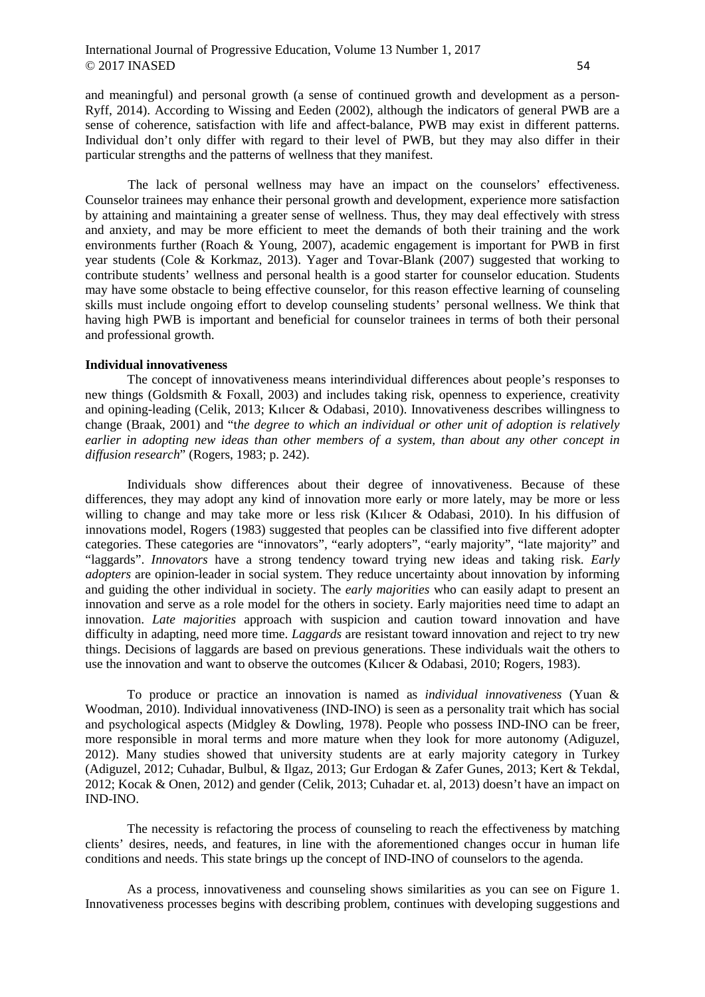and meaningful) and personal growth (a sense of continued growth and development as a person-Ryff, 2014). According to Wissing and Eeden (2002), although the indicators of general PWB are a sense of coherence, satisfaction with life and affect-balance, PWB may exist in different patterns. Individual don't only differ with regard to their level of PWB, but they may also differ in their particular strengths and the patterns of wellness that they manifest.

The lack of personal wellness may have an impact on the counselors' effectiveness. Counselor trainees may enhance their personal growth and development, experience more satisfaction by attaining and maintaining a greater sense of wellness. Thus, they may deal effectively with stress and anxiety, and may be more efficient to meet the demands of both their training and the work environments further (Roach & Young, 2007), academic engagement is important for PWB in first year students (Cole & Korkmaz, 2013). Yager and Tovar-Blank (2007) suggested that working to contribute students' wellness and personal health is a good starter for counselor education. Students may have some obstacle to being effective counselor, for this reason effective learning of counseling skills must include ongoing effort to develop counseling students' personal wellness. We think that having high PWB is important and beneficial for counselor trainees in terms of both their personal and professional growth.

## **Individual innovativeness**

The concept of innovativeness means interindividual differences about people's responses to new things (Goldsmith & Foxall, 2003) and includes taking risk, openness to experience, creativity and opining-leading (Celik, 2013; Kılıcer & Odabasi, 2010). Innovativeness describes willingness to change (Braak, 2001) and "t*he degree to which an individual or other unit of adoption is relatively earlier in adopting new ideas than other members of a system, than about any other concept in diffusion research*" (Rogers, 1983; p. 242).

Individuals show differences about their degree of innovativeness. Because of these differences, they may adopt any kind of innovation more early or more lately, may be more or less willing to change and may take more or less risk (Kılıcer & Odabasi, 2010). In his diffusion of innovations model, Rogers (1983) suggested that peoples can be classified into five different adopter categories. These categories are "innovators", "early adopters", "early majority", "late majority" and "laggards". *Innovators* have a strong tendency toward trying new ideas and taking risk. *Early adopters* are opinion-leader in social system. They reduce uncertainty about innovation by informing and guiding the other individual in society. The *early majorities* who can easily adapt to present an innovation and serve as a role model for the others in society. Early majorities need time to adapt an innovation. *Late majorities* approach with suspicion and caution toward innovation and have difficulty in adapting, need more time. *Laggards* are resistant toward innovation and reject to try new things. Decisions of laggards are based on previous generations. These individuals wait the others to use the innovation and want to observe the outcomes (Kılıcer & Odabasi, 2010; Rogers, 1983).

To produce or practice an innovation is named as *individual innovativeness* (Yuan & Woodman, 2010). Individual innovativeness (IND-INO) is seen as a personality trait which has social and psychological aspects (Midgley & Dowling, 1978). People who possess IND-INO can be freer, more responsible in moral terms and more mature when they look for more autonomy (Adiguzel, 2012). Many studies showed that university students are at early majority category in Turkey (Adiguzel, 2012; Cuhadar, Bulbul, & Ilgaz, 2013; Gur Erdogan & Zafer Gunes, 2013; Kert & Tekdal, 2012; Kocak & Onen, 2012) and gender (Celik, 2013; Cuhadar et. al, 2013) doesn't have an impact on IND-INO.

The necessity is refactoring the process of counseling to reach the effectiveness by matching clients' desires, needs, and features, in line with the aforementioned changes occur in human life conditions and needs. This state brings up the concept of IND-INO of counselors to the agenda.

As a process, innovativeness and counseling shows similarities as you can see on Figure 1. Innovativeness processes begins with describing problem, continues with developing suggestions and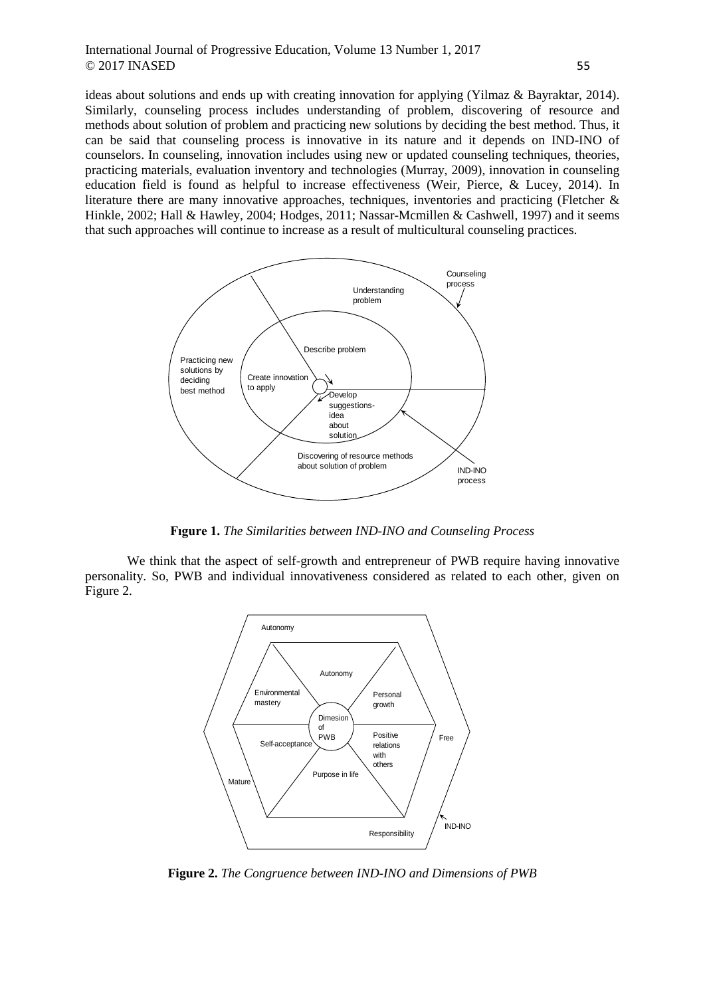ideas about solutions and ends up with creating innovation for applying (Yilmaz & Bayraktar, 2014). Similarly, counseling process includes understanding of problem, discovering of resource and methods about solution of problem and practicing new solutions by deciding the best method. Thus, it can be said that counseling process is innovative in its nature and it depends on IND-INO of counselors. In counseling, innovation includes using new or updated counseling techniques, theories, practicing materials, evaluation inventory and technologies (Murray, 2009), innovation in counseling education field is found as helpful to increase effectiveness (Weir, Pierce, & Lucey, 2014). In literature there are many innovative approaches, techniques, inventories and practicing (Fletcher & Hinkle, 2002; Hall & Hawley, 2004; Hodges, 2011; Nassar-Mcmillen & Cashwell, 1997) and it seems that such approaches will continue to increase as a result of multicultural counseling practices.



**Fıgure 1.** *The Similarities between IND-INO and Counseling Process*

We think that the aspect of self-growth and entrepreneur of PWB require having innovative personality. So, PWB and individual innovativeness considered as related to each other, given on Figure 2.



**Figure 2.** *The Congruence between IND-INO and Dimensions of PWB*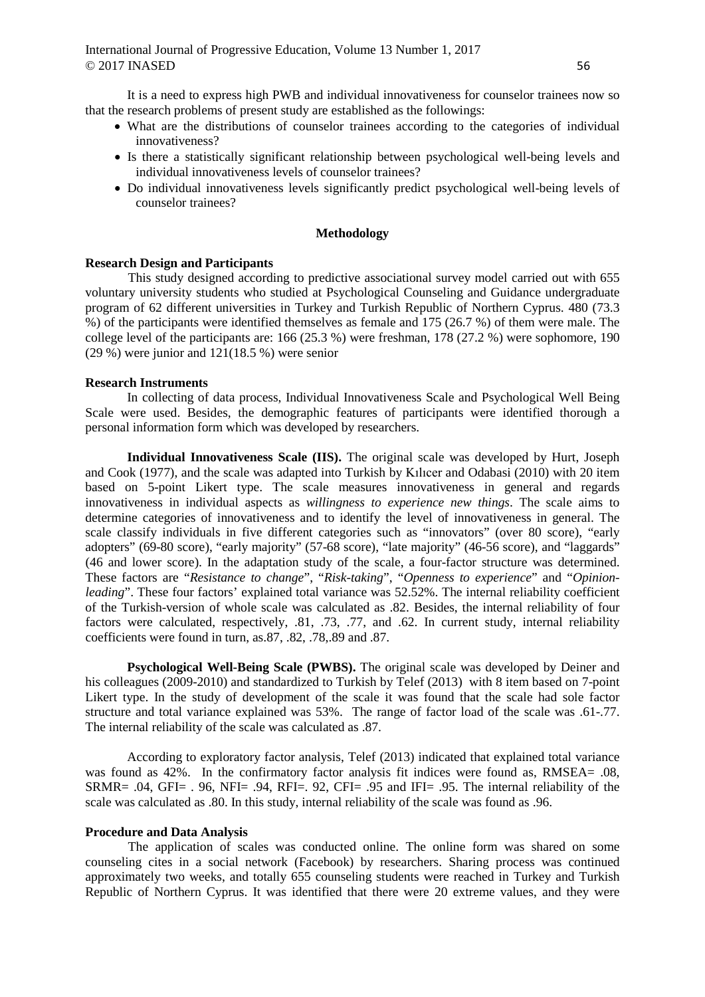It is a need to express high PWB and individual innovativeness for counselor trainees now so that the research problems of present study are established as the followings:

- What are the distributions of counselor trainees according to the categories of individual innovativeness?
- Is there a statistically significant relationship between psychological well-being levels and individual innovativeness levels of counselor trainees?
- Do individual innovativeness levels significantly predict psychological well-being levels of counselor trainees?

# **Methodology**

#### **Research Design and Participants**

This study designed according to predictive associational survey model carried out with 655 voluntary university students who studied at Psychological Counseling and Guidance undergraduate program of 62 different universities in Turkey and Turkish Republic of Northern Cyprus. 480 (73.3 %) of the participants were identified themselves as female and 175 (26.7 %) of them were male. The college level of the participants are: 166 (25.3 %) were freshman, 178 (27.2 %) were sophomore, 190 (29 %) were junior and 121(18.5 %) were senior

### **Research Instruments**

In collecting of data process, Individual Innovativeness Scale and Psychological Well Being Scale were used. Besides, the demographic features of participants were identified thorough a personal information form which was developed by researchers.

**Individual Innovativeness Scale (IIS).** The original scale was developed by Hurt, Joseph and Cook (1977), and the scale was adapted into Turkish by Kılıcer and Odabasi (2010) with 20 item based on 5-point Likert type. The scale measures innovativeness in general and regards innovativeness in individual aspects as *willingness to experience new things*. The scale aims to determine categories of innovativeness and to identify the level of innovativeness in general. The scale classify individuals in five different categories such as "innovators" (over 80 score), "early adopters" (69-80 score), "early majority" (57-68 score), "late majority" (46-56 score), and "laggards" (46 and lower score). In the adaptation study of the scale, a four-factor structure was determined. These factors are "*Resistance to change*", "*Risk-taking*", "*Openness to experience*" and "*Opinionleading*". These four factors' explained total variance was 52.52%. The internal reliability coefficient of the Turkish-version of whole scale was calculated as .82. Besides, the internal reliability of four factors were calculated, respectively, .81, .73, .77, and .62. In current study, internal reliability coefficients were found in turn, as.87, .82, .78,.89 and .87.

**Psychological Well-Being Scale (PWBS).** The original scale was developed by Deiner and his colleagues (2009-2010) and standardized to Turkish by Telef (2013) with 8 item based on 7-point Likert type. In the study of development of the scale it was found that the scale had sole factor structure and total variance explained was 53%. The range of factor load of the scale was .61-.77. The internal reliability of the scale was calculated as .87.

According to exploratory factor analysis, Telef (2013) indicated that explained total variance was found as 42%. In the confirmatory factor analysis fit indices were found as, RMSEA= .08,  $SRMR = .04$ ,  $GFI = .96$ ,  $NFI = .94$ ,  $RFI = .92$ ,  $CFI = .95$  and  $IFI = .95$ . The internal reliability of the scale was calculated as .80. In this study, internal reliability of the scale was found as .96.

# **Procedure and Data Analysis**

The application of scales was conducted online. The online form was shared on some counseling cites in a social network (Facebook) by researchers. Sharing process was continued approximately two weeks, and totally 655 counseling students were reached in Turkey and Turkish Republic of Northern Cyprus. It was identified that there were 20 extreme values, and they were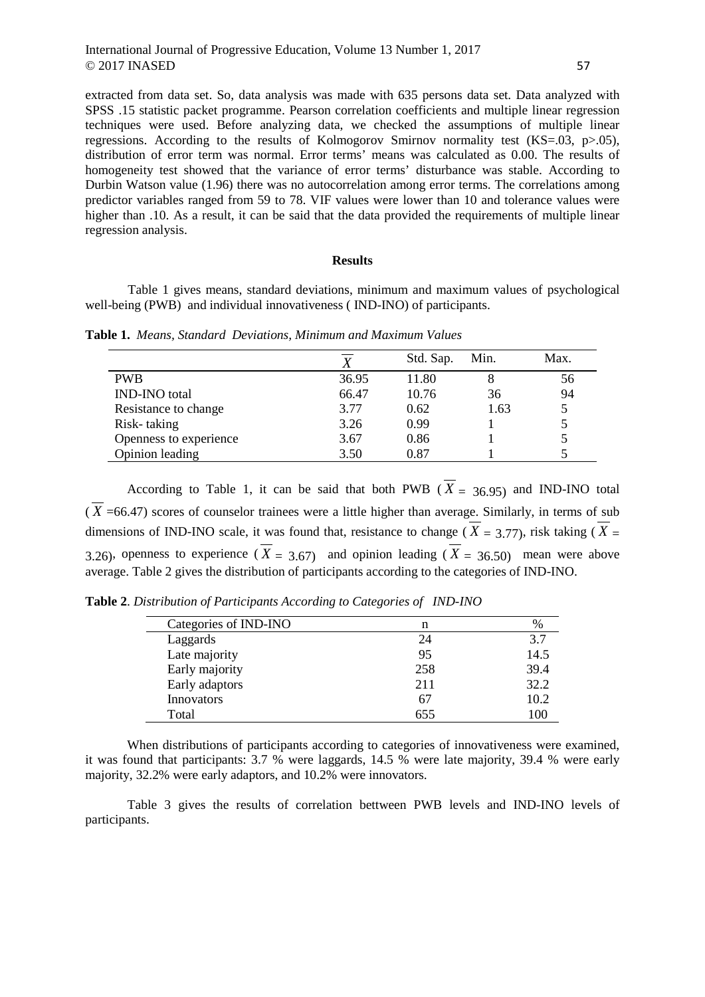extracted from data set. So, data analysis was made with 635 persons data set. Data analyzed with SPSS .15 statistic packet programme. Pearson correlation coefficients and multiple linear regression techniques were used. Before analyzing data, we checked the assumptions of multiple linear regressions. According to the results of Kolmogorov Smirnov normality test  $(KS=0.03, p>0.05)$ , distribution of error term was normal. Error terms' means was calculated as 0.00. The results of homogeneity test showed that the variance of error terms' disturbance was stable. According to Durbin Watson value (1.96) there was no autocorrelation among error terms. The correlations among predictor variables ranged from 59 to 78. VIF values were lower than 10 and tolerance values were higher than .10. As a result, it can be said that the data provided the requirements of multiple linear regression analysis.

### **Results**

Table 1 gives means, standard deviations, minimum and maximum values of psychological well-being (PWB) and individual innovativeness (IND-INO) of participants.

**Table 1.** *Means, Standard Deviations, Minimum and Maximum Values*

|                        |       | Std. Sap. | Min. | Max. |
|------------------------|-------|-----------|------|------|
| <b>PWB</b>             | 36.95 | 11.80     | 8    | 56   |
| <b>IND-INO</b> total   | 66.47 | 10.76     | 36   | 94   |
| Resistance to change   | 3.77  | 0.62      | 1.63 | 5    |
| Risk-taking            | 3.26  | 0.99      |      |      |
| Openness to experience | 3.67  | 0.86      |      | 5    |
| Opinion leading        | 3.50  | 0.87      |      |      |

According to Table 1, it can be said that both PWB ( $\overline{X}$  = 36.95) and IND-INO total  $(\overline{X} = 66.47)$  scores of counselor trainees were a little higher than average. Similarly, in terms of sub dimensions of IND-INO scale, it was found that, resistance to change ( $\overline{X}$  = 3.77), risk taking ( $\overline{X}$  = 3.26), openness to experience ( $\overline{X}$  = 3.67) and opinion leading ( $\overline{X}$  = 36.50) mean were above average. Table 2 gives the distribution of participants according to the categories of IND-INO.

**Table 2**. *Distribution of Participants According to Categories of IND-INO*

| Categories of IND-INO | n   | $\%$ |
|-----------------------|-----|------|
| Laggards              | 24  | 3.7  |
| Late majority         | 95  | 14.5 |
| Early majority        | 258 | 39.4 |
| Early adaptors        | 211 | 32.2 |
| Innovators            | 67  | 10.2 |
| Total                 | 655 | 100  |

When distributions of participants according to categories of innovativeness were examined, it was found that participants: 3.7 % were laggards, 14.5 % were late majority, 39.4 % were early majority, 32.2% were early adaptors, and 10.2% were innovators.

Table 3 gives the results of correlation bettween PWB levels and IND-INO levels of participants.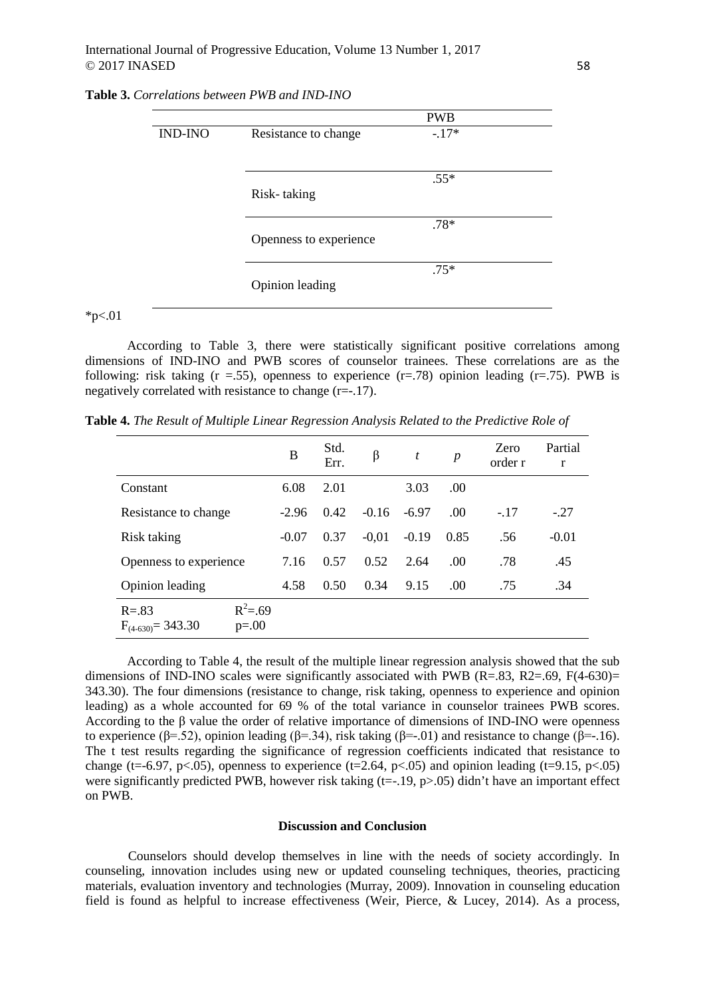|                |                        | <b>PWB</b> |
|----------------|------------------------|------------|
| <b>IND-INO</b> | Resistance to change   | $-17*$     |
|                | Risk-taking            | $.55*$     |
|                | Openness to experience | $.78*$     |
|                | Opinion leading        | $.75*$     |

### **Table 3.** *Correlations between PWB and IND-INO*

 $*_{p<.01}$ 

According to Table 3, there were statistically significant positive correlations among dimensions of IND-INO and PWB scores of counselor trainees. These correlations are as the following: risk taking ( $r = .55$ ), openness to experience ( $r = .78$ ) opinion leading ( $r = .75$ ). PWB is negatively correlated with resistance to change (r=-.17).

**Table 4.** *The Result of Multiple Linear Regression Analysis Related to the Predictive Role of*

|                                     |                        | B       | Std.<br>Err. | β       | $\boldsymbol{t}$ | $\boldsymbol{p}$ | Zero<br>order r | Partial<br>r |
|-------------------------------------|------------------------|---------|--------------|---------|------------------|------------------|-----------------|--------------|
| Constant                            |                        | 6.08    | 2.01         |         | 3.03             | .00.             |                 |              |
| Resistance to change                |                        | $-2.96$ | 0.42         | $-0.16$ | $-6.97$          | .00              | $-.17$          | $-27$        |
| Risk taking                         |                        | $-0.07$ | 0.37         | $-0.01$ | $-0.19$          | 0.85             | .56             | $-0.01$      |
| Openness to experience              |                        | 7.16    | 0.57         | 0.52    | 2.64             | .00.             | .78             | .45          |
| Opinion leading                     |                        | 4.58    | 0.50         | 0.34    | 9.15             | .00.             | .75             | .34          |
| $R = .83$<br>$F_{(4-630)} = 343.30$ | $R^2 = .69$<br>$p=.00$ |         |              |         |                  |                  |                 |              |

According to Table 4, the result of the multiple linear regression analysis showed that the sub dimensions of IND-INO scales were significantly associated with PWB (R=.83, R2=.69, F(4-630)= 343.30). The four dimensions (resistance to change, risk taking, openness to experience and opinion leading) as a whole accounted for 69 % of the total variance in counselor trainees PWB scores. According to the β value the order of relative importance of dimensions of IND-INO were openness to experience (β=.52), opinion leading (β=.34), risk taking (β=-.01) and resistance to change ( $\hat{\beta}$ =-.16). The t test results regarding the significance of regression coefficients indicated that resistance to change (t=-6.97, p<.05), openness to experience (t=2.64, p<.05) and opinion leading (t=9.15, p<.05) were significantly predicted PWB, however risk taking  $(t=-.19, p>0.05)$  didn't have an important effect on PWB.

#### **Discussion and Conclusion**

Counselors should develop themselves in line with the needs of society accordingly. In counseling, innovation includes using new or updated counseling techniques, theories, practicing materials, evaluation inventory and technologies (Murray, 2009). Innovation in counseling education field is found as helpful to increase effectiveness (Weir, Pierce, & Lucey, 2014). As a process,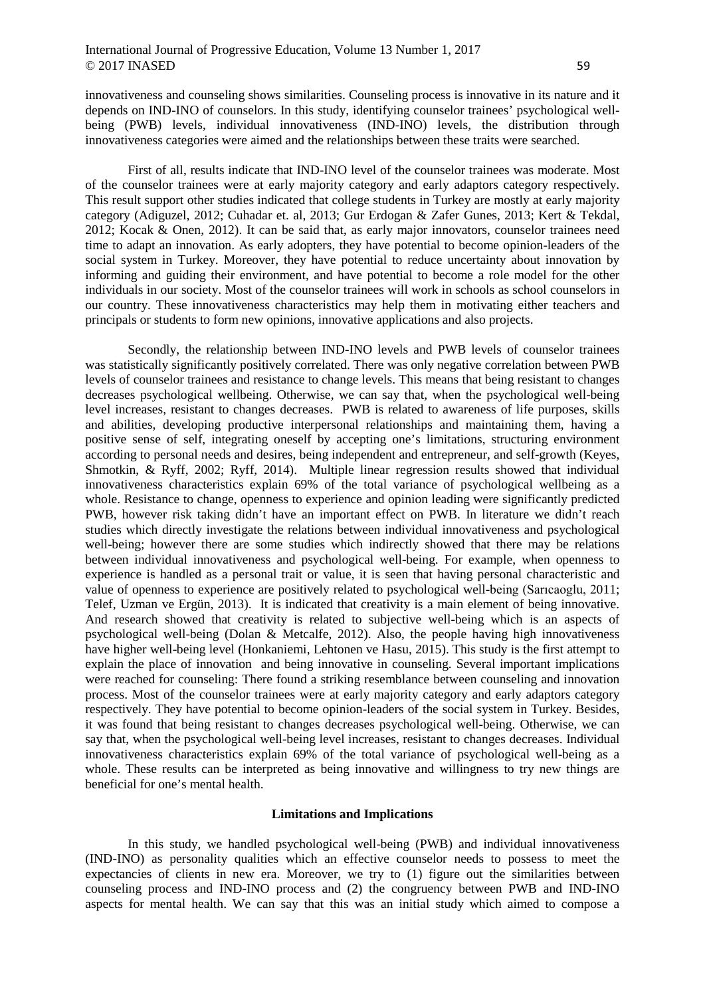innovativeness and counseling shows similarities. Counseling process is innovative in its nature and it depends on IND-INO of counselors. In this study, identifying counselor trainees' psychological wellbeing (PWB) levels, individual innovativeness (IND-INO) levels, the distribution through innovativeness categories were aimed and the relationships between these traits were searched.

First of all, results indicate that IND-INO level of the counselor trainees was moderate. Most of the counselor trainees were at early majority category and early adaptors category respectively. This result support other studies indicated that college students in Turkey are mostly at early majority category (Adiguzel, 2012; Cuhadar et. al, 2013; Gur Erdogan & Zafer Gunes, 2013; Kert & Tekdal, 2012; Kocak & Onen, 2012). It can be said that, as early major innovators, counselor trainees need time to adapt an innovation. As early adopters, they have potential to become opinion-leaders of the social system in Turkey. Moreover, they have potential to reduce uncertainty about innovation by informing and guiding their environment, and have potential to become a role model for the other individuals in our society. Most of the counselor trainees will work in schools as school counselors in our country. These innovativeness characteristics may help them in motivating either teachers and principals or students to form new opinions, innovative applications and also projects.

Secondly, the relationship between IND-INO levels and PWB levels of counselor trainees was statistically significantly positively correlated. There was only negative correlation between PWB levels of counselor trainees and resistance to change levels. This means that being resistant to changes decreases psychological wellbeing. Otherwise, we can say that, when the psychological well-being level increases, resistant to changes decreases. PWB is related to awareness of life purposes, skills and abilities, developing productive interpersonal relationships and maintaining them, having a positive sense of self, integrating oneself by accepting one's limitations, structuring environment according to personal needs and desires, being independent and entrepreneur, and self-growth (Keyes, Shmotkin, & Ryff, 2002; Ryff, 2014). Multiple linear regression results showed that individual innovativeness characteristics explain 69% of the total variance of psychological wellbeing as a whole. Resistance to change, openness to experience and opinion leading were significantly predicted PWB, however risk taking didn't have an important effect on PWB. In literature we didn't reach studies which directly investigate the relations between individual innovativeness and psychological well-being; however there are some studies which indirectly showed that there may be relations between individual innovativeness and psychological well-being. For example, when openness to experience is handled as a personal trait or value, it is seen that having personal characteristic and value of openness to experience are positively related to psychological well-being (Sarıcaoglu, 2011; Telef, Uzman ve Ergün, 2013). It is indicated that creativity is a main element of being innovative. And research showed that creativity is related to subjective well-being which is an aspects of psychological well-being (Dolan & Metcalfe, 2012). Also, the people having high innovativeness have higher well-being level (Honkaniemi, Lehtonen ve Hasu, 2015). This study is the first attempt to explain the place of innovation and being innovative in counseling. Several important implications were reached for counseling: There found a striking resemblance between counseling and innovation process. Most of the counselor trainees were at early majority category and early adaptors category respectively. They have potential to become opinion-leaders of the social system in Turkey. Besides, it was found that being resistant to changes decreases psychological well-being. Otherwise, we can say that, when the psychological well-being level increases, resistant to changes decreases. Individual innovativeness characteristics explain 69% of the total variance of psychological well-being as a whole. These results can be interpreted as being innovative and willingness to try new things are beneficial for one's mental health.

### **Limitations and Implications**

In this study, we handled psychological well-being (PWB) and individual innovativeness (IND-INO) as personality qualities which an effective counselor needs to possess to meet the expectancies of clients in new era. Moreover, we try to (1) figure out the similarities between counseling process and IND-INO process and (2) the congruency between PWB and IND-INO aspects for mental health. We can say that this was an initial study which aimed to compose a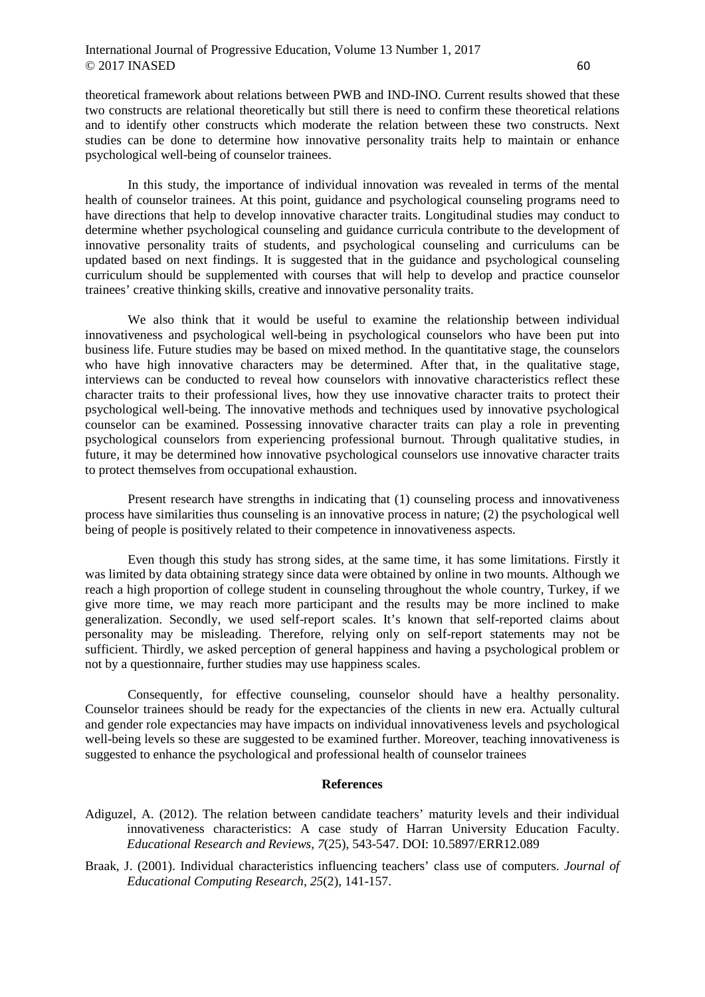theoretical framework about relations between PWB and IND-INO. Current results showed that these two constructs are relational theoretically but still there is need to confirm these theoretical relations and to identify other constructs which moderate the relation between these two constructs. Next studies can be done to determine how innovative personality traits help to maintain or enhance psychological well-being of counselor trainees.

In this study, the importance of individual innovation was revealed in terms of the mental health of counselor trainees. At this point, guidance and psychological counseling programs need to have directions that help to develop innovative character traits. Longitudinal studies may conduct to determine whether psychological counseling and guidance curricula contribute to the development of innovative personality traits of students, and psychological counseling and curriculums can be updated based on next findings. It is suggested that in the guidance and psychological counseling curriculum should be supplemented with courses that will help to develop and practice counselor trainees' creative thinking skills, creative and innovative personality traits.

We also think that it would be useful to examine the relationship between individual innovativeness and psychological well-being in psychological counselors who have been put into business life. Future studies may be based on mixed method. In the quantitative stage, the counselors who have high innovative characters may be determined. After that, in the qualitative stage, interviews can be conducted to reveal how counselors with innovative characteristics reflect these character traits to their professional lives, how they use innovative character traits to protect their psychological well-being. The innovative methods and techniques used by innovative psychological counselor can be examined. Possessing innovative character traits can play a role in preventing psychological counselors from experiencing professional burnout. Through qualitative studies, in future, it may be determined how innovative psychological counselors use innovative character traits to protect themselves from occupational exhaustion.

Present research have strengths in indicating that (1) counseling process and innovativeness process have similarities thus counseling is an innovative process in nature; (2) the psychological well being of people is positively related to their competence in innovativeness aspects.

Even though this study has strong sides, at the same time, it has some limitations. Firstly it was limited by data obtaining strategy since data were obtained by online in two mounts. Although we reach a high proportion of college student in counseling throughout the whole country, Turkey, if we give more time, we may reach more participant and the results may be more inclined to make generalization. Secondly, we used self-report scales. It's known that self-reported claims about personality may be misleading. Therefore, relying only on self-report statements may not be sufficient. Thirdly, we asked perception of general happiness and having a psychological problem or not by a questionnaire, further studies may use happiness scales.

Consequently, for effective counseling, counselor should have a healthy personality. Counselor trainees should be ready for the expectancies of the clients in new era. Actually cultural and gender role expectancies may have impacts on individual innovativeness levels and psychological well-being levels so these are suggested to be examined further. Moreover, teaching innovativeness is suggested to enhance the psychological and professional health of counselor trainees

#### **References**

- Adiguzel, A. (2012). The relation between candidate teachers' maturity levels and their individual innovativeness characteristics: A case study of Harran University Education Faculty. *Educational Research and Reviews, 7*(25), 543-547. DOI: 10.5897/ERR12.089
- Braak, J. (2001). Individual characteristics influencing teachers' class use of computers. *Journal of Educational Computing Research, 25*(2), 141-157.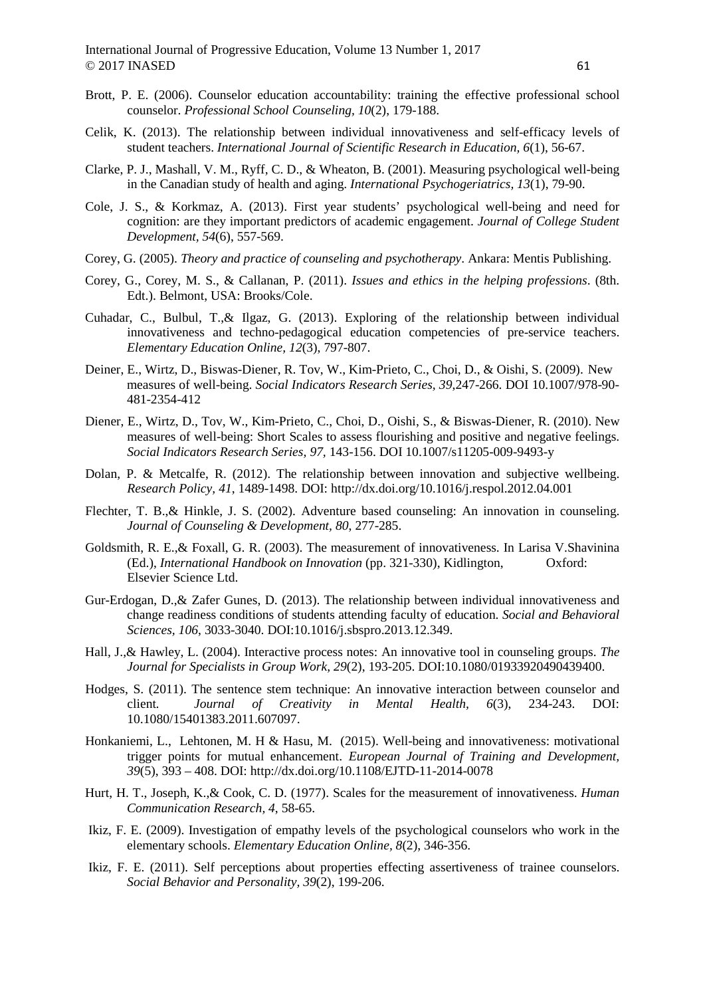- Brott, P. E. (2006). Counselor education accountability: training the effective professional school counselor. *Professional School Counseling, 10*(2), 179-188.
- Celik, K. (2013). The relationship between individual innovativeness and self-efficacy levels of student teachers. *International Journal of Scientific Research in Education, 6*(1), 56-67.
- Clarke, P. J., Mashall, V. M., Ryff, C. D., & Wheaton, B. (2001). Measuring psychological well-being in the Canadian study of health and aging. *International Psychogeriatrics, 13*(1), 79-90.
- Cole, J. S., & Korkmaz, A. (2013). First year students' psychological well-being and need for cognition: are they important predictors of academic engagement. *Journal of College Student Development, 54*(6), 557-569.
- Corey, G. (2005). *Theory and practice of counseling and psychotherapy*. Ankara: Mentis Publishing.
- Corey, G., Corey, M. S., & Callanan, P. (2011). *Issues and ethics in the helping professions*. (8th. Edt.). Belmont, USA: Brooks/Cole.
- Cuhadar, C., Bulbul, T.,& Ilgaz, G. (2013). Exploring of the relationship between individual innovativeness and techno-pedagogical education competencies of pre-service teachers. *Elementary Education Online, 12*(3), 797-807.
- Deiner, E., Wirtz, D., Biswas-Diener, R. Tov, W., Kim-Prieto, C., Choi, D., & Oishi, S. (2009). New measures of well-being. *Social Indicators Research Series, 39*,247-266. DOI 10.1007/978-90- 481-2354-412
- Diener, E., Wirtz, D., Tov, W., Kim-Prieto, C., Choi, D., Oishi, S., & Biswas-Diener, R. (2010). New measures of well-being: Short Scales to assess flourishing and positive and negative feelings. *Social Indicators Research Series, 97,* 143-156. DOI 10.1007/s11205-009-9493-y
- Dolan, P. & Metcalfe, R. (2012). The relationship between innovation and subjective wellbeing. *Research Policy, 41*, 1489-1498. DOI: http://dx.doi.org/10.1016/j.respol.2012.04.001
- Flechter, T. B.,& Hinkle, J. S. (2002). Adventure based counseling: An innovation in counseling. *Journal of Counseling & Development, 80*, 277-285.
- Goldsmith, R. E.,& Foxall, G. R. (2003). The measurement of innovativeness. In Larisa V.Shavinina (Ed.), *International Handbook on Innovation* (pp. 321-330), Kidlington, Oxford: Elsevier Science Ltd.
- Gur-Erdogan, D.,& Zafer Gunes, D. (2013). The relationship between individual innovativeness and change readiness conditions of students attending faculty of education. *Social and Behavioral Sciences, 106*, 3033-3040. DOI:10.1016/j.sbspro.2013.12.349.
- Hall, J.,& Hawley, L. (2004). Interactive process notes: An innovative tool in counseling groups. *The Journal for Specialists in Group Work, 29*(2), 193-205. DOI:10.1080/01933920490439400.
- Hodges, S. (2011). The sentence stem technique: An innovative interaction between counselor and client*. Journal of Creativity in Mental Health, 6*(3), 234-243. DOI: 10.1080/15401383.2011.607097.
- Honkaniemi, L., Lehtonen, M. H & Hasu, M. (2015). Well-being and innovativeness: motivational trigger points for mutual enhancement. *European Journal of Training and Development, 39*(5), 393 – 408. DOI: http://dx.doi.org/10.1108/EJTD-11-2014-0078
- Hurt, H. T., Joseph, K.,& Cook, C. D. (1977). Scales for the measurement of innovativeness. *Human Communication Research, 4*, 58-65.
- Ikiz, F. E. (2009). Investigation of empathy levels of the psychological counselors who work in the elementary schools. *Elementary Education Online, 8*(2), 346-356.
- Ikiz, F. E. (2011). Self perceptions about properties effecting assertiveness of trainee counselors. *Social Behavior and Personality, 39*(2), 199-206.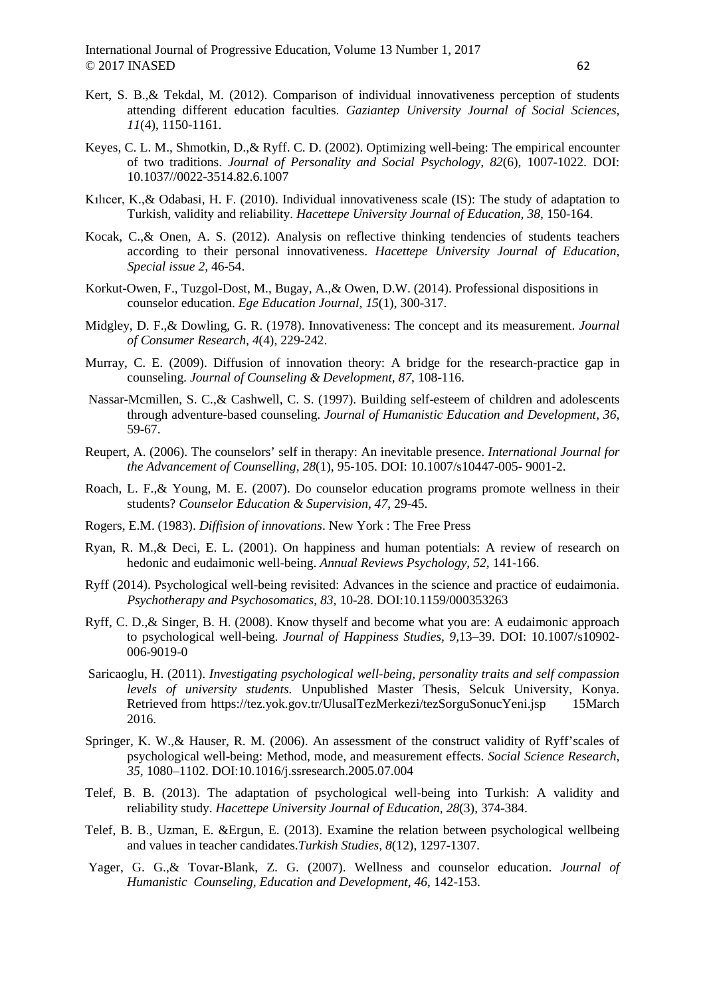- Kert, S. B.,& Tekdal, M. (2012). Comparison of individual innovativeness perception of students attending different education faculties. *Gaziantep University Journal of Social Sciences, 11*(4), 1150-1161.
- Keyes, C. L. M., Shmotkin, D.,& Ryff. C. D. (2002). Optimizing well-being: The empirical encounter of two traditions. *Journal of Personality and Social Psychology, 82*(6), 1007-1022. DOI: 10.1037//0022-3514.82.6.1007
- Kılıcer, K.,& Odabasi, H. F. (2010). Individual innovativeness scale (IS): The study of adaptation to Turkish, validity and reliability. *Hacettepe University Journal of Education, 38,* 150-164.
- Kocak, C.,& Onen, A. S. (2012). Analysis on reflective thinking tendencies of students teachers according to their personal innovativeness. *Hacettepe University Journal of Education, Special issue 2*, 46-54.
- Korkut-Owen, F., Tuzgol-Dost, M., Bugay, A.,& Owen, D.W. (2014). Professional dispositions in counselor education. *Ege Education Journal, 15*(1), 300-317.
- Midgley, D. F.,& Dowling, G. R. (1978). Innovativeness: The concept and its measurement. *Journal of Consumer Research, 4*(4), 229-242.
- Murray, C. E. (2009). Diffusion of innovation theory: A bridge for the research-practice gap in counseling. *Journal of Counseling & Development, 87*, 108-116.
- Nassar-Mcmillen, S. C.,& Cashwell, C. S. (1997). Building self-esteem of children and adolescents through adventure-based counseling. *Journal of Humanistic Education and Development, 36*, 59-67.
- Reupert, A. (2006). The counselors' self in therapy: An inevitable presence. *International Journal for the Advancement of Counselling, 28*(1), 95-105. DOI: 10.1007/s10447-005- 9001-2.
- Roach, L. F.,& Young, M. E. (2007). Do counselor education programs promote wellness in their students? *Counselor Education & Supervision, 47*, 29-45.
- Rogers, E.M. (1983). *Diffision of innovations*. New York : The Free Press
- Ryan, R. M.,& Deci, E. L. (2001). On happiness and human potentials: A review of research on hedonic and eudaimonic well-being. *Annual Reviews Psychology, 52,* 141-166.
- Ryff (2014). Psychological well-being revisited: Advances in the science and practice of eudaimonia. *Psychotherapy and Psychosomatics, 83*, 10-28. DOI:10.1159/000353263
- Ryff, C. D.,& Singer, B. H. (2008). Know thyself and become what you are: A eudaimonic approach to psychological well-being. *Journal of Happiness Studies, 9,*13–39. DOI: 10.1007/s10902- 006-9019-0
- Saricaoglu, H. (2011). *Investigating psychological well-being, personality traits and self compassion levels of university students.* Unpublished Master Thesis, Selcuk University, Konya. Retrieved from https://tez.yok.gov.tr/UlusalTezMerkezi/tezSorguSonucYeni.jsp 15March 2016.
- Springer, K. W.,& Hauser, R. M. (2006). An assessment of the construct validity of Ryff'scales of psychological well-being: Method, mode, and measurement effects. *Social Science Research, 35*, 1080–1102. DOI:10.1016/j.ssresearch.2005.07.004
- Telef, B. B. (2013). The adaptation of psychological well-being into Turkish: A validity and reliability study. *Hacettepe University Journal of Education, 28*(3), 374-384.
- Telef, B. B., Uzman, E. &Ergun, E. (2013). Examine the relation between psychological wellbeing and values in teacher candidates.*Turkish Studies, 8*(12), 1297-1307.
- Yager, G. G.,& Tovar-Blank, Z. G. (2007). Wellness and counselor education. *Journal of Humanistic Counseling, Education and Development, 46*, 142-153.